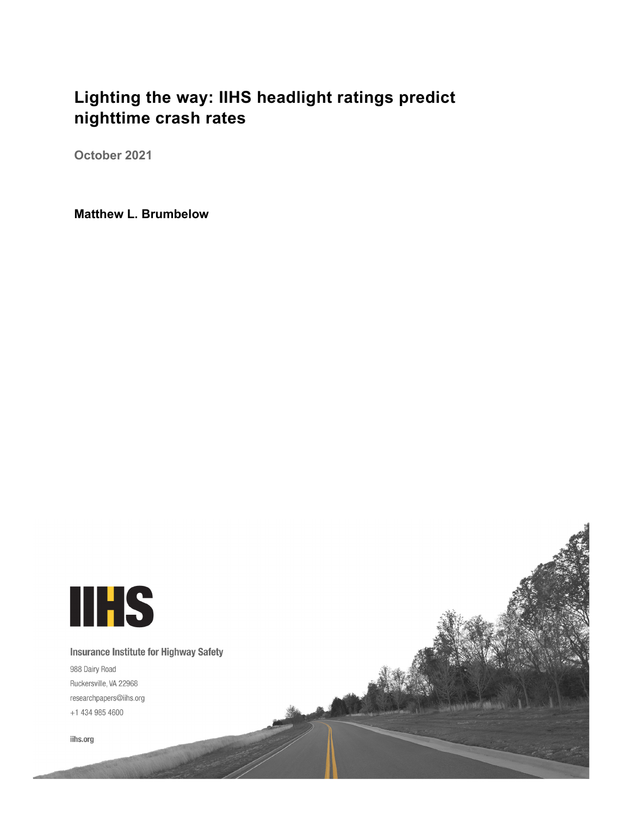# **Lighting the way: IIHS headlight ratings predict nighttime crash rates**

**October 2021**

**Matthew L. Brumbelow**

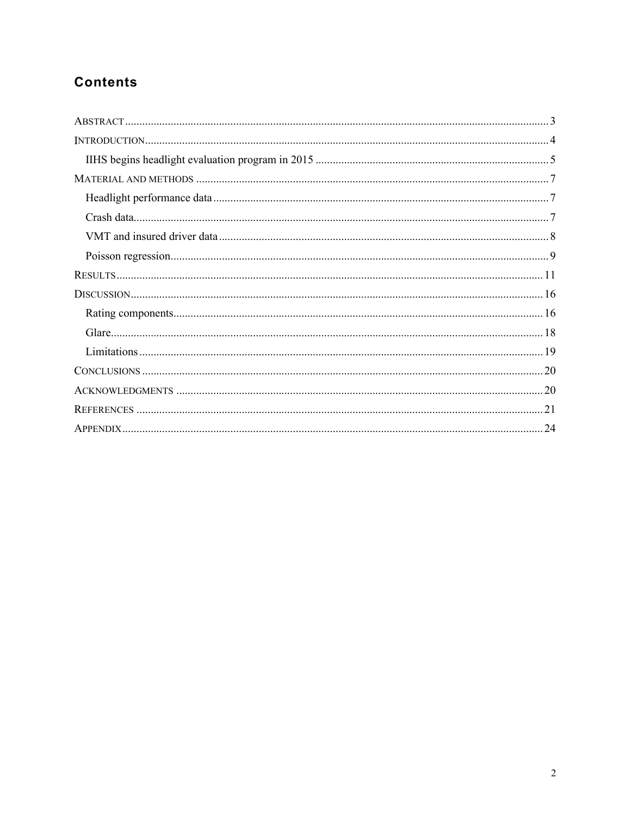## **Contents**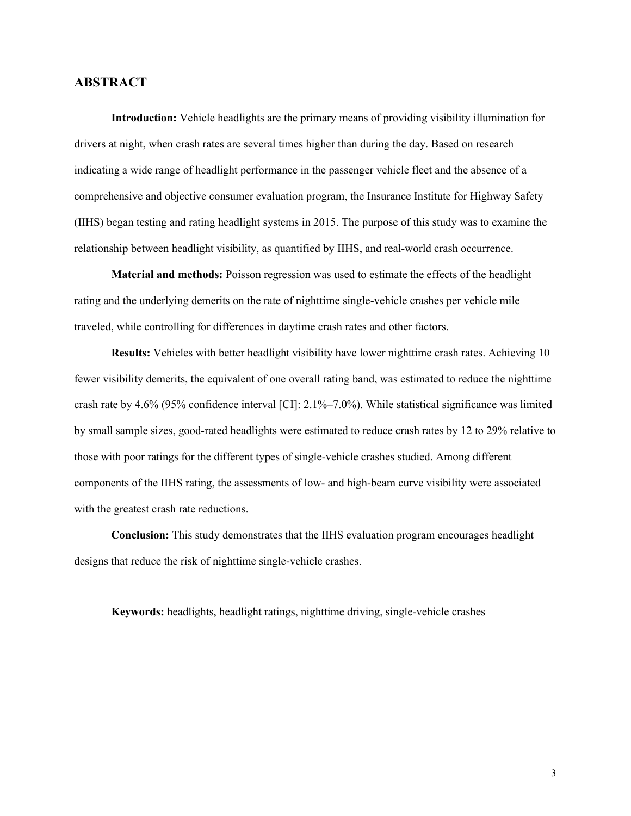## <span id="page-2-0"></span>**ABSTRACT**

**Introduction:** Vehicle headlights are the primary means of providing visibility illumination for drivers at night, when crash rates are several times higher than during the day. Based on research indicating a wide range of headlight performance in the passenger vehicle fleet and the absence of a comprehensive and objective consumer evaluation program, the Insurance Institute for Highway Safety (IIHS) began testing and rating headlight systems in 2015. The purpose of this study was to examine the relationship between headlight visibility, as quantified by IIHS, and real-world crash occurrence.

**Material and methods:** Poisson regression was used to estimate the effects of the headlight rating and the underlying demerits on the rate of nighttime single-vehicle crashes per vehicle mile traveled, while controlling for differences in daytime crash rates and other factors.

**Results:** Vehicles with better headlight visibility have lower nighttime crash rates. Achieving 10 fewer visibility demerits, the equivalent of one overall rating band, was estimated to reduce the nighttime crash rate by 4.6% (95% confidence interval [CI]: 2.1%–7.0%). While statistical significance was limited by small sample sizes, good-rated headlights were estimated to reduce crash rates by 12 to 29% relative to those with poor ratings for the different types of single-vehicle crashes studied. Among different components of the IIHS rating, the assessments of low- and high-beam curve visibility were associated with the greatest crash rate reductions.

**Conclusion:** This study demonstrates that the IIHS evaluation program encourages headlight designs that reduce the risk of nighttime single-vehicle crashes.

**Keywords:** headlights, headlight ratings, nighttime driving, single-vehicle crashes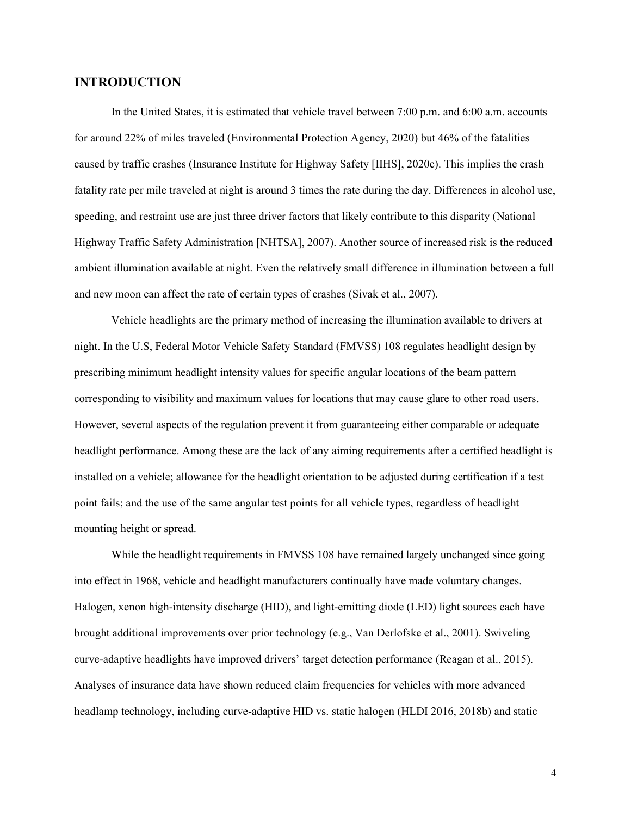## <span id="page-3-0"></span>**INTRODUCTION**

In the United States, it is estimated that vehicle travel between 7:00 p.m. and 6:00 a.m. accounts for around 22% of miles traveled (Environmental Protection Agency, 2020) but 46% of the fatalities caused by traffic crashes (Insurance Institute for Highway Safety [IIHS], 2020c). This implies the crash fatality rate per mile traveled at night is around 3 times the rate during the day. Differences in alcohol use, speeding, and restraint use are just three driver factors that likely contribute to this disparity (National Highway Traffic Safety Administration [NHTSA], 2007). Another source of increased risk is the reduced ambient illumination available at night. Even the relatively small difference in illumination between a full and new moon can affect the rate of certain types of crashes (Sivak et al., 2007).

Vehicle headlights are the primary method of increasing the illumination available to drivers at night. In the U.S, Federal Motor Vehicle Safety Standard (FMVSS) 108 regulates headlight design by prescribing minimum headlight intensity values for specific angular locations of the beam pattern corresponding to visibility and maximum values for locations that may cause glare to other road users. However, several aspects of the regulation prevent it from guaranteeing either comparable or adequate headlight performance. Among these are the lack of any aiming requirements after a certified headlight is installed on a vehicle; allowance for the headlight orientation to be adjusted during certification if a test point fails; and the use of the same angular test points for all vehicle types, regardless of headlight mounting height or spread.

While the headlight requirements in FMVSS 108 have remained largely unchanged since going into effect in 1968, vehicle and headlight manufacturers continually have made voluntary changes. Halogen, xenon high-intensity discharge (HID), and light-emitting diode (LED) light sources each have brought additional improvements over prior technology (e.g., Van Derlofske et al., 2001). Swiveling curve-adaptive headlights have improved drivers' target detection performance (Reagan et al., 2015). Analyses of insurance data have shown reduced claim frequencies for vehicles with more advanced headlamp technology, including curve-adaptive HID vs. static halogen (HLDI 2016, 2018b) and static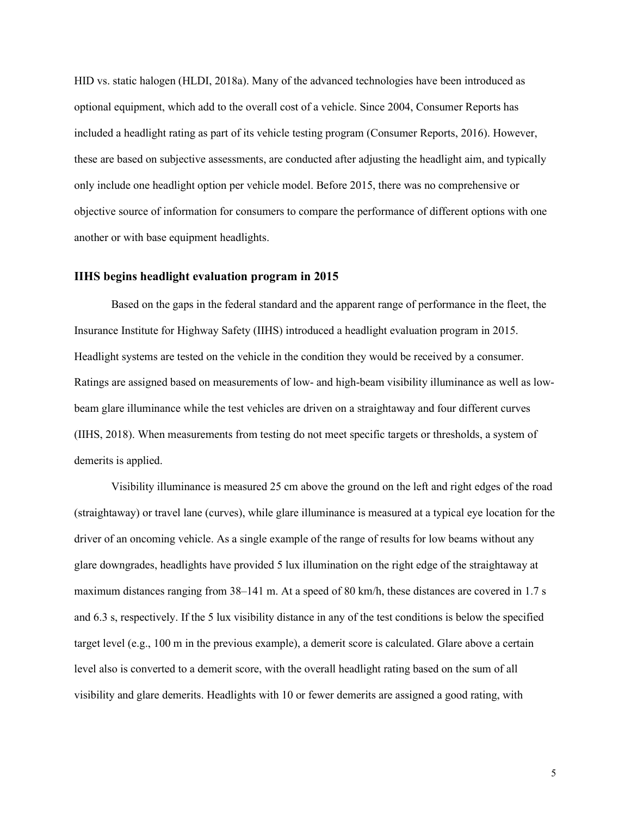HID vs. static halogen (HLDI, 2018a). Many of the advanced technologies have been introduced as optional equipment, which add to the overall cost of a vehicle. Since 2004, Consumer Reports has included a headlight rating as part of its vehicle testing program (Consumer Reports, 2016). However, these are based on subjective assessments, are conducted after adjusting the headlight aim, and typically only include one headlight option per vehicle model. Before 2015, there was no comprehensive or objective source of information for consumers to compare the performance of different options with one another or with base equipment headlights.

### <span id="page-4-0"></span>**IIHS begins headlight evaluation program in 2015**

Based on the gaps in the federal standard and the apparent range of performance in the fleet, the Insurance Institute for Highway Safety (IIHS) introduced a headlight evaluation program in 2015. Headlight systems are tested on the vehicle in the condition they would be received by a consumer. Ratings are assigned based on measurements of low- and high-beam visibility illuminance as well as lowbeam glare illuminance while the test vehicles are driven on a straightaway and four different curves (IIHS, 2018). When measurements from testing do not meet specific targets or thresholds, a system of demerits is applied.

Visibility illuminance is measured 25 cm above the ground on the left and right edges of the road (straightaway) or travel lane (curves), while glare illuminance is measured at a typical eye location for the driver of an oncoming vehicle. As a single example of the range of results for low beams without any glare downgrades, headlights have provided 5 lux illumination on the right edge of the straightaway at maximum distances ranging from 38–141 m. At a speed of 80 km/h, these distances are covered in 1.7 s and 6.3 s, respectively. If the 5 lux visibility distance in any of the test conditions is below the specified target level (e.g., 100 m in the previous example), a demerit score is calculated. Glare above a certain level also is converted to a demerit score, with the overall headlight rating based on the sum of all visibility and glare demerits. Headlights with 10 or fewer demerits are assigned a good rating, with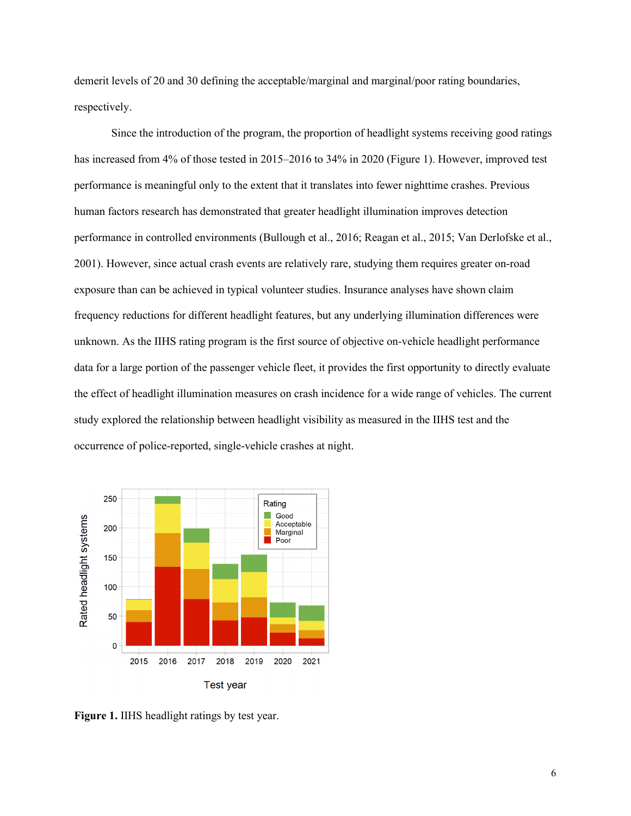demerit levels of 20 and 30 defining the acceptable/marginal and marginal/poor rating boundaries, respectively.

Since the introduction of the program, the proportion of headlight systems receiving good ratings has increased from 4% of those tested in 2015–2016 to 34% in 2020 (Figure 1). However, improved test performance is meaningful only to the extent that it translates into fewer nighttime crashes. Previous human factors research has demonstrated that greater headlight illumination improves detection performance in controlled environments (Bullough et al., 2016; Reagan et al., 2015; Van Derlofske et al., 2001). However, since actual crash events are relatively rare, studying them requires greater on-road exposure than can be achieved in typical volunteer studies. Insurance analyses have shown claim frequency reductions for different headlight features, but any underlying illumination differences were unknown. As the IIHS rating program is the first source of objective on-vehicle headlight performance data for a large portion of the passenger vehicle fleet, it provides the first opportunity to directly evaluate the effect of headlight illumination measures on crash incidence for a wide range of vehicles. The current study explored the relationship between headlight visibility as measured in the IIHS test and the occurrence of police-reported, single-vehicle crashes at night.



**Figure 1.** IIHS headlight ratings by test year.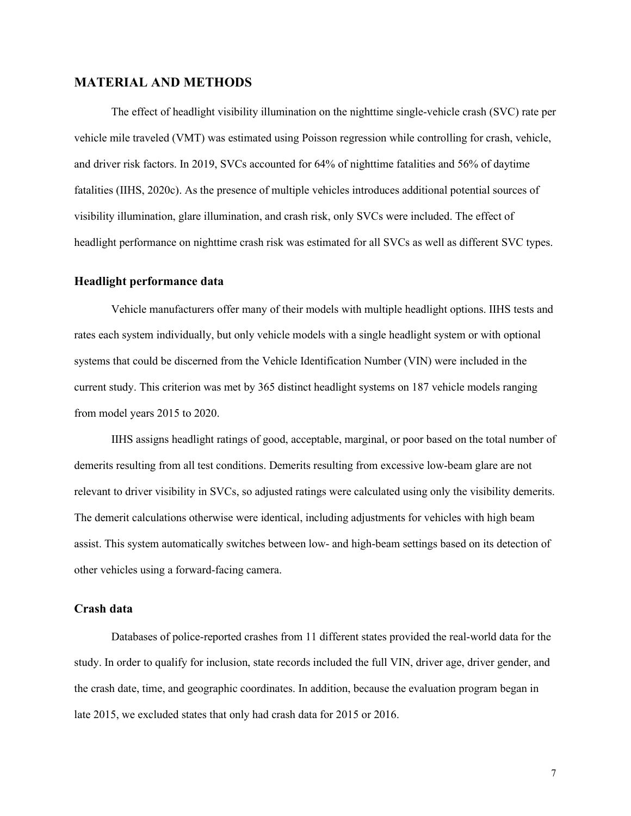### <span id="page-6-0"></span>**MATERIAL AND METHODS**

The effect of headlight visibility illumination on the nighttime single-vehicle crash (SVC) rate per vehicle mile traveled (VMT) was estimated using Poisson regression while controlling for crash, vehicle, and driver risk factors. In 2019, SVCs accounted for 64% of nighttime fatalities and 56% of daytime fatalities (IIHS, 2020c). As the presence of multiple vehicles introduces additional potential sources of visibility illumination, glare illumination, and crash risk, only SVCs were included. The effect of headlight performance on nighttime crash risk was estimated for all SVCs as well as different SVC types.

#### <span id="page-6-1"></span>**Headlight performance data**

Vehicle manufacturers offer many of their models with multiple headlight options. IIHS tests and rates each system individually, but only vehicle models with a single headlight system or with optional systems that could be discerned from the Vehicle Identification Number (VIN) were included in the current study. This criterion was met by 365 distinct headlight systems on 187 vehicle models ranging from model years 2015 to 2020.

IIHS assigns headlight ratings of good, acceptable, marginal, or poor based on the total number of demerits resulting from all test conditions. Demerits resulting from excessive low-beam glare are not relevant to driver visibility in SVCs, so adjusted ratings were calculated using only the visibility demerits. The demerit calculations otherwise were identical, including adjustments for vehicles with high beam assist. This system automatically switches between low- and high-beam settings based on its detection of other vehicles using a forward-facing camera.

#### <span id="page-6-2"></span>**Crash data**

Databases of police-reported crashes from 11 different states provided the real-world data for the study. In order to qualify for inclusion, state records included the full VIN, driver age, driver gender, and the crash date, time, and geographic coordinates. In addition, because the evaluation program began in late 2015, we excluded states that only had crash data for 2015 or 2016.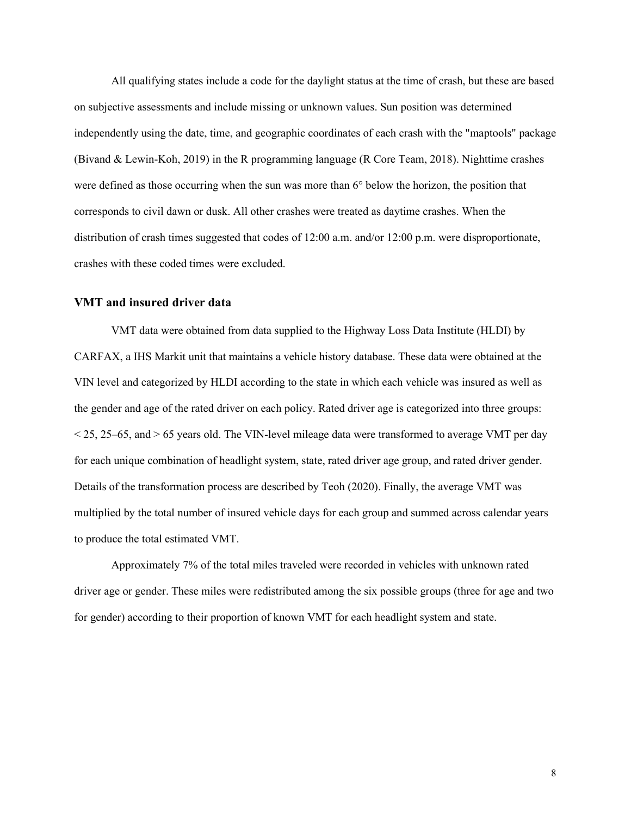All qualifying states include a code for the daylight status at the time of crash, but these are based on subjective assessments and include missing or unknown values. Sun position was determined independently using the date, time, and geographic coordinates of each crash with the "maptools" package (Bivand & Lewin-Koh, 2019) in the R programming language (R Core Team, 2018). Nighttime crashes were defined as those occurring when the sun was more than 6° below the horizon, the position that corresponds to civil dawn or dusk. All other crashes were treated as daytime crashes. When the distribution of crash times suggested that codes of 12:00 a.m. and/or 12:00 p.m. were disproportionate, crashes with these coded times were excluded.

### <span id="page-7-0"></span>**VMT and insured driver data**

VMT data were obtained from data supplied to the Highway Loss Data Institute (HLDI) by CARFAX, a IHS Markit unit that maintains a vehicle history database. These data were obtained at the VIN level and categorized by HLDI according to the state in which each vehicle was insured as well as the gender and age of the rated driver on each policy. Rated driver age is categorized into three groups:  $<$  25, 25–65, and  $>$  65 years old. The VIN-level mileage data were transformed to average VMT per day for each unique combination of headlight system, state, rated driver age group, and rated driver gender. Details of the transformation process are described by Teoh (2020). Finally, the average VMT was multiplied by the total number of insured vehicle days for each group and summed across calendar years to produce the total estimated VMT.

Approximately 7% of the total miles traveled were recorded in vehicles with unknown rated driver age or gender. These miles were redistributed among the six possible groups (three for age and two for gender) according to their proportion of known VMT for each headlight system and state.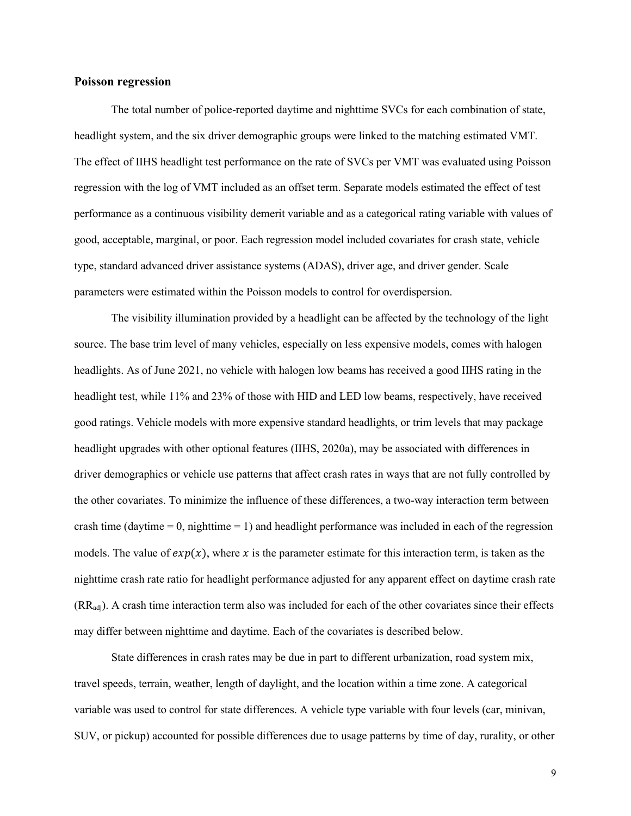#### <span id="page-8-0"></span>**Poisson regression**

The total number of police-reported daytime and nighttime SVCs for each combination of state, headlight system, and the six driver demographic groups were linked to the matching estimated VMT. The effect of IIHS headlight test performance on the rate of SVCs per VMT was evaluated using Poisson regression with the log of VMT included as an offset term. Separate models estimated the effect of test performance as a continuous visibility demerit variable and as a categorical rating variable with values of good, acceptable, marginal, or poor. Each regression model included covariates for crash state, vehicle type, standard advanced driver assistance systems (ADAS), driver age, and driver gender. Scale parameters were estimated within the Poisson models to control for overdispersion.

The visibility illumination provided by a headlight can be affected by the technology of the light source. The base trim level of many vehicles, especially on less expensive models, comes with halogen headlights. As of June 2021, no vehicle with halogen low beams has received a good IIHS rating in the headlight test, while 11% and 23% of those with HID and LED low beams, respectively, have received good ratings. Vehicle models with more expensive standard headlights, or trim levels that may package headlight upgrades with other optional features (IIHS, 2020a), may be associated with differences in driver demographics or vehicle use patterns that affect crash rates in ways that are not fully controlled by the other covariates. To minimize the influence of these differences, a two-way interaction term between crash time (daytime  $= 0$ , nighttime  $= 1$ ) and headlight performance was included in each of the regression models. The value of  $exp(x)$ , where x is the parameter estimate for this interaction term, is taken as the nighttime crash rate ratio for headlight performance adjusted for any apparent effect on daytime crash rate (RRadj). A crash time interaction term also was included for each of the other covariates since their effects may differ between nighttime and daytime. Each of the covariates is described below.

State differences in crash rates may be due in part to different urbanization, road system mix, travel speeds, terrain, weather, length of daylight, and the location within a time zone. A categorical variable was used to control for state differences. A vehicle type variable with four levels (car, minivan, SUV, or pickup) accounted for possible differences due to usage patterns by time of day, rurality, or other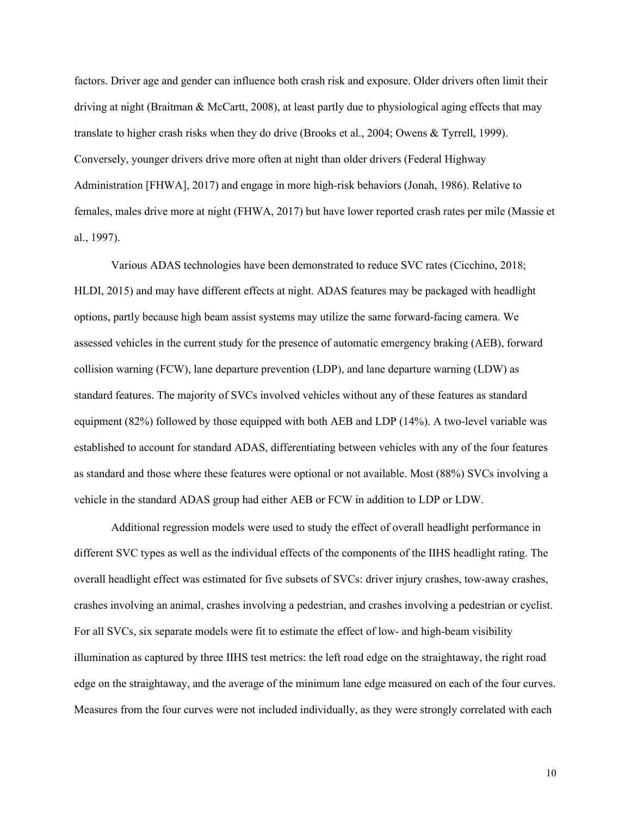factors. Driver age and gender can influence both crash risk and exposure. Older drivers often limit their driving at night (Braitman & McCartt, 2008), at least partly due to physiological aging effects that may translate to higher crash risks when they do drive (Brooks et al., 2004; Owens & Tyrrell, 1999). Conversely, younger drivers drive more often at night than older drivers (Federal Highway Administration [FHWA], 2017) and engage in more high-risk behaviors (Jonah, 1986). Relative to females, males drive more at night (FHWA, 2017) but have lower reported crash rates per mile (Massie et al., 1997).

Various ADAS technologies have been demonstrated to reduce SVC rates (Cicchino, 2018; HLDI, 2015) and may have different effects at night. ADAS features may be packaged with headlight options, partly because high beam assist systems may utilize the same forward-facing camera. We assessed vehicles in the current study for the presence of automatic emergency braking (AEB), forward collision warning (FCW), lane departure prevention (LDP), and lane departure warning (LDW) as standard features. The majority of SVCs involved vehicles without any of these features as standard equipment (82%) followed by those equipped with both AEB and LDP (14%). A two-level variable was established to account for standard ADAS, differentiating between vehicles with any of the four features as standard and those where these features were optional or not available. Most (88%) SVCs involving a vehicle in the standard ADAS group had either AEB or FCW in addition to LDP or LDW.

Additional regression models were used to study the effect of overall headlight performance in different SVC types as well as the individual effects of the components of the IIHS headlight rating. The overall headlight effect was estimated for five subsets of SVCs: driver injury crashes, tow-away crashes, crashes involving an animal, crashes involving a pedestrian, and crashes involving a pedestrian or cyclist. For all SVCs, six separate models were fit to estimate the effect of low- and high-beam visibility illumination as captured by three IIHS test metrics: the left road edge on the straightaway, the right road edge on the straightaway, and the average of the minimum lane edge measured on each of the four curves. Measures from the four curves were not included individually, as they were strongly correlated with each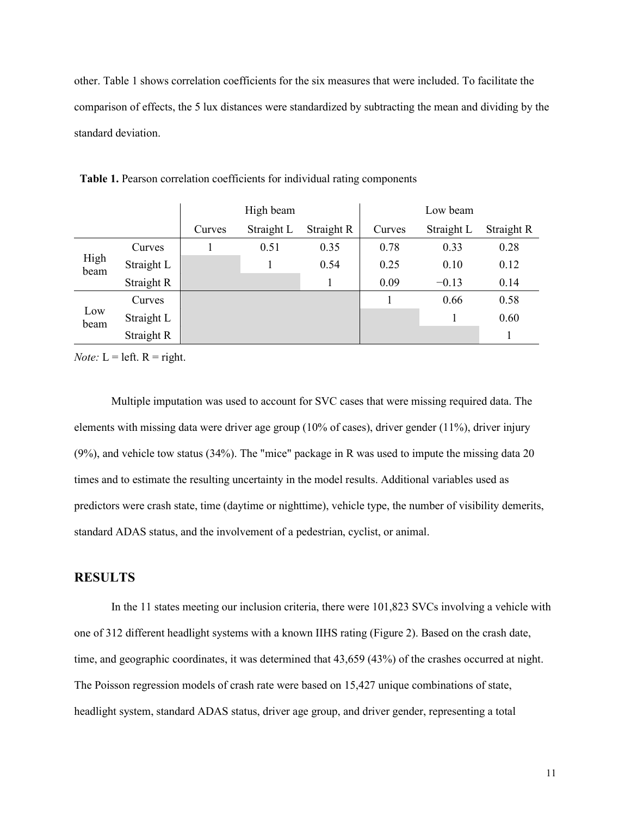other. Table 1 shows correlation coefficients for the six measures that were included. To facilitate the comparison of effects, the 5 lux distances were standardized by subtracting the mean and dividing by the standard deviation.

|              |            | High beam |            |            | Low beam |            |            |
|--------------|------------|-----------|------------|------------|----------|------------|------------|
|              |            | Curves    | Straight L | Straight R | Curves   | Straight L | Straight R |
|              | Curves     |           | 0.51       | 0.35       | 0.78     | 0.33       | 0.28       |
| High<br>beam | Straight L |           |            | 0.54       | 0.25     | 0.10       | 0.12       |
|              | Straight R |           |            |            | 0.09     | $-0.13$    | 0.14       |
| Low<br>beam  | Curves     |           |            |            |          | 0.66       | 0.58       |
|              | Straight L |           |            |            |          |            | 0.60       |
|              | Straight R |           |            |            |          |            |            |

**Table 1.** Pearson correlation coefficients for individual rating components

*Note:*  $L = left$ .  $R = right$ .

Multiple imputation was used to account for SVC cases that were missing required data. The elements with missing data were driver age group (10% of cases), driver gender (11%), driver injury (9%), and vehicle tow status (34%). The "mice" package in R was used to impute the missing data 20 times and to estimate the resulting uncertainty in the model results. Additional variables used as predictors were crash state, time (daytime or nighttime), vehicle type, the number of visibility demerits, standard ADAS status, and the involvement of a pedestrian, cyclist, or animal.

## <span id="page-10-0"></span>**RESULTS**

In the 11 states meeting our inclusion criteria, there were 101,823 SVCs involving a vehicle with one of 312 different headlight systems with a known IIHS rating (Figure 2). Based on the crash date, time, and geographic coordinates, it was determined that 43,659 (43%) of the crashes occurred at night. The Poisson regression models of crash rate were based on 15,427 unique combinations of state, headlight system, standard ADAS status, driver age group, and driver gender, representing a total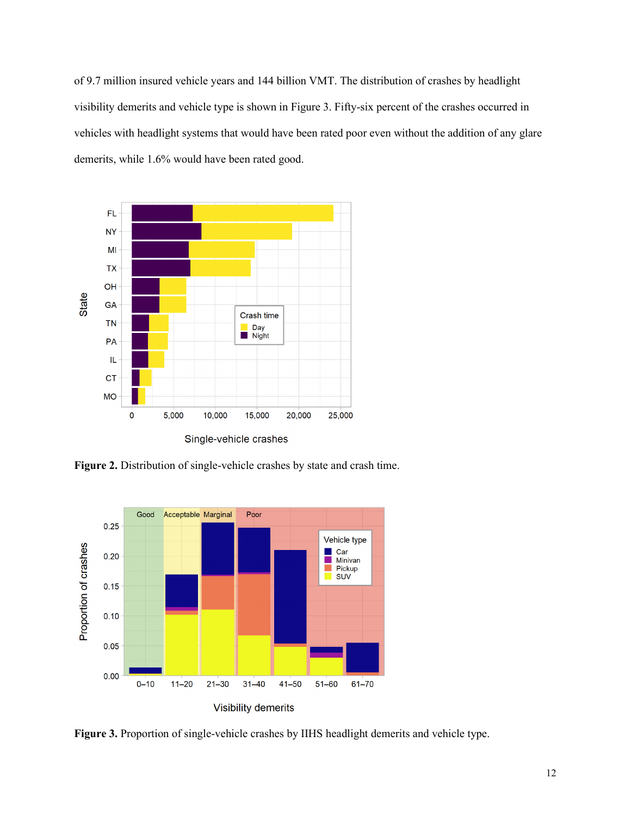of 9.7 million insured vehicle years and 144 billion VMT. The distribution of crashes by headlight visibility demerits and vehicle type is shown in Figure 3. Fifty-six percent of the crashes occurred in vehicles with headlight systems that would have been rated poor even without the addition of any glare demerits, while 1.6% would have been rated good.



**Figure 2.** Distribution of single-vehicle crashes by state and crash time.



**Figure 3.** Proportion of single-vehicle crashes by IIHS headlight demerits and vehicle type.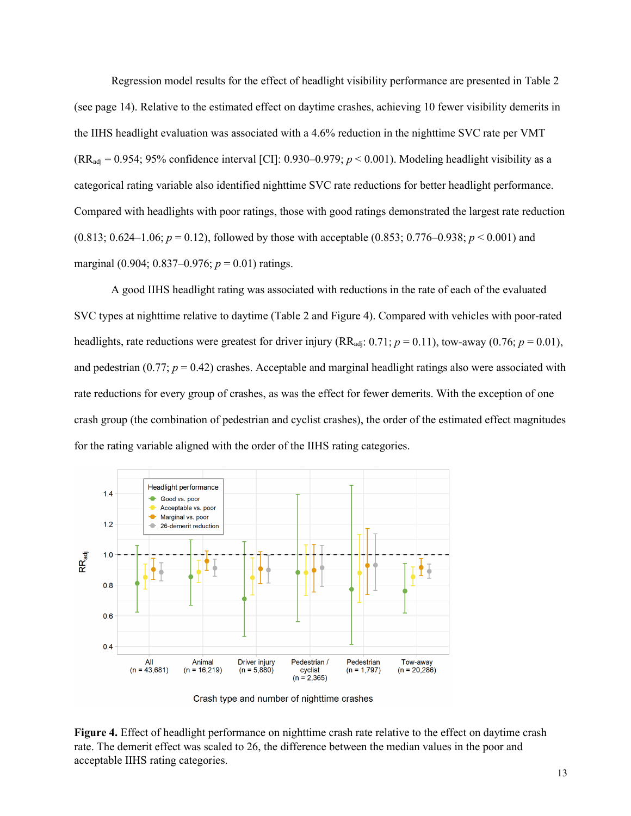Regression model results for the effect of headlight visibility performance are presented in Table 2 (see page 14). Relative to the estimated effect on daytime crashes, achieving 10 fewer visibility demerits in the IIHS headlight evaluation was associated with a 4.6% reduction in the nighttime SVC rate per VMT  $(RR_{\text{adi}} = 0.954; 95\%$  confidence interval [CI]: 0.930–0.979;  $p < 0.001$ ). Modeling headlight visibility as a categorical rating variable also identified nighttime SVC rate reductions for better headlight performance. Compared with headlights with poor ratings, those with good ratings demonstrated the largest rate reduction  $(0.813; 0.624-1.06; p = 0.12)$ , followed by those with acceptable  $(0.853; 0.776-0.938; p < 0.001)$  and marginal (0.904; 0.837–0.976; *p* = 0.01) ratings.

A good IIHS headlight rating was associated with reductions in the rate of each of the evaluated SVC types at nighttime relative to daytime (Table 2 and Figure 4). Compared with vehicles with poor-rated headlights, rate reductions were greatest for driver injury (RR<sub>adj</sub>: 0.71;  $p = 0.11$ ), tow-away (0.76;  $p = 0.01$ ), and pedestrian  $(0.77; p = 0.42)$  crashes. Acceptable and marginal headlight ratings also were associated with rate reductions for every group of crashes, as was the effect for fewer demerits. With the exception of one crash group (the combination of pedestrian and cyclist crashes), the order of the estimated effect magnitudes for the rating variable aligned with the order of the IIHS rating categories.



Crash type and number of nighttime crashes

**Figure 4.** Effect of headlight performance on nighttime crash rate relative to the effect on daytime crash rate. The demerit effect was scaled to 26, the difference between the median values in the poor and acceptable IIHS rating categories.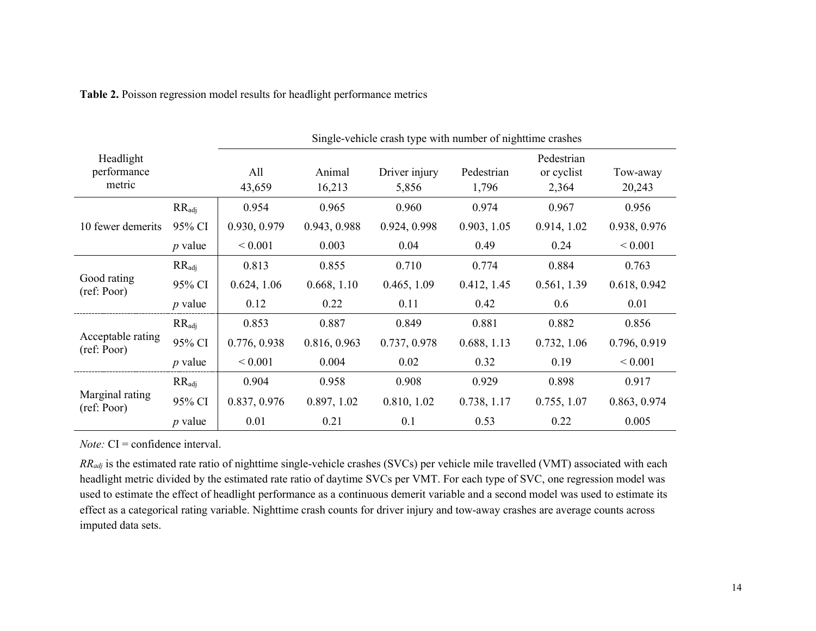**Table 2.** Poisson regression model results for headlight performance metrics

|                                    |                   | Single-vehicle crash type with number of nighttime crashes |                  |                        |                     |                                   |                    |  |
|------------------------------------|-------------------|------------------------------------------------------------|------------------|------------------------|---------------------|-----------------------------------|--------------------|--|
| Headlight<br>performance<br>metric |                   | All<br>43,659                                              | Animal<br>16,213 | Driver injury<br>5,856 | Pedestrian<br>1,796 | Pedestrian<br>or cyclist<br>2,364 | Tow-away<br>20,243 |  |
|                                    | $RR_{\text{adj}}$ | 0.954                                                      | 0.965            | 0.960                  | 0.974               | 0.967                             | 0.956              |  |
| 10 fewer demerits                  | 95% CI            | 0.930, 0.979                                               | 0.943, 0.988     | 0.924, 0.998           | 0.903, 1.05         | 0.914, 1.02                       | 0.938, 0.976       |  |
|                                    | $p$ value         | ${}_{0.001}$                                               | 0.003            | 0.04                   | 0.49                | 0.24                              | ${}< 0.001$        |  |
| Good rating<br>(ref: Poor)         | $RR_{\text{adj}}$ | 0.813                                                      | 0.855            | 0.710                  | 0.774               | 0.884                             | 0.763              |  |
|                                    | 95% CI            | 0.624, 1.06                                                | 0.668, 1.10      | 0.465, 1.09            | 0.412, 1.45         | 0.561, 1.39                       | 0.618, 0.942       |  |
|                                    | $p$ value         | 0.12                                                       | 0.22             | 0.11                   | 0.42                | 0.6                               | 0.01               |  |
|                                    | $RR_{\text{adj}}$ | 0.853                                                      | 0.887            | 0.849                  | 0.881               | 0.882                             | 0.856              |  |
| Acceptable rating<br>(ref: Poor)   | 95% CI            | 0.776, 0.938                                               | 0.816, 0.963     | 0.737, 0.978           | 0.688, 1.13         | 0.732, 1.06                       | 0.796, 0.919       |  |
|                                    | $p$ value         | ${}< 0.001$                                                | 0.004            | 0.02                   | 0.32                | 0.19                              | ${}< 0.001$        |  |
| Marginal rating<br>(ref: Poor)     | $RR_{\text{adj}}$ | 0.904                                                      | 0.958            | 0.908                  | 0.929               | 0.898                             | 0.917              |  |
|                                    | 95% CI            | 0.837, 0.976                                               | 0.897, 1.02      | 0.810, 1.02            | 0.738, 1.17         | 0.755, 1.07                       | 0.863, 0.974       |  |
|                                    | $p$ value         | 0.01                                                       | 0.21             | 0.1                    | 0.53                | 0.22                              | 0.005              |  |

*Note:* CI = confidence interval.

*RRadj* is the estimated rate ratio of nighttime single-vehicle crashes (SVCs) per vehicle mile travelled (VMT) associated with each headlight metric divided by the estimated rate ratio of daytime SVCs per VMT. For each type of SVC, one regression model was used to estimate the effect of headlight performance as a continuous demerit variable and a second model was used to estimate its effect as a categorical rating variable. Nighttime crash counts for driver injury and tow-away crashes are average counts across imputed data sets.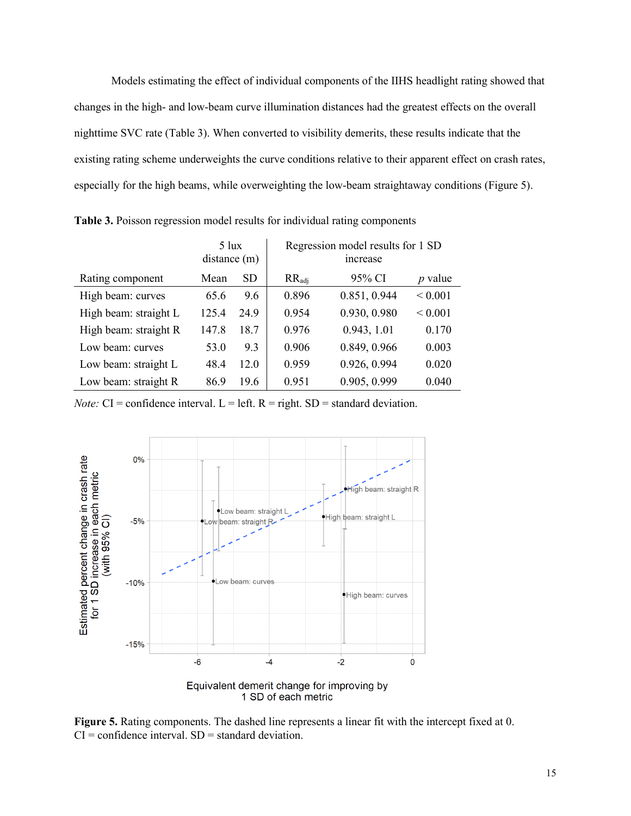Models estimating the effect of individual components of the IIHS headlight rating showed that changes in the high- and low-beam curve illumination distances had the greatest effects on the overall nighttime SVC rate (Table 3). When converted to visibility demerits, these results indicate that the existing rating scheme underweights the curve conditions relative to their apparent effect on crash rates, especially for the high beams, while overweighting the low-beam straightaway conditions (Figure 5).

|                       | $5 \text{lux}$<br>distance(m) |           | Regression model results for 1 SD<br>increase |              |                |
|-----------------------|-------------------------------|-----------|-----------------------------------------------|--------------|----------------|
| Rating component      | Mean                          | <b>SD</b> | $RR_{\text{adj}}$                             | 95% CI       | <i>p</i> value |
| High beam: curves     | 65.6                          | 9.6       | 0.896                                         | 0.851, 0.944 | ${}< 0.001$    |
| High beam: straight L | 125.4                         | 24.9      | 0.954                                         | 0.930, 0.980 | ${}< 0.001$    |
| High beam: straight R | 147.8                         | 18.7      | 0.976                                         | 0.943, 1.01  | 0.170          |
| Low beam: curves      | 53.0                          | 9.3       | 0.906                                         | 0.849, 0.966 | 0.003          |
| Low beam: straight L  | 48.4                          | 12.0      | 0.959                                         | 0.926, 0.994 | 0.020          |
| Low beam: straight R  | 86.9                          | 19.6      | 0.951                                         | 0.905, 0.999 | 0.040          |

**Table 3.** Poisson regression model results for individual rating components

*Note:*  $CI =$  confidence interval.  $L =$  left.  $R =$  right.  $SD =$  standard deviation.



**Figure 5.** Rating components. The dashed line represents a linear fit with the intercept fixed at 0.  $CI =$  confidence interval.  $SD =$  standard deviation.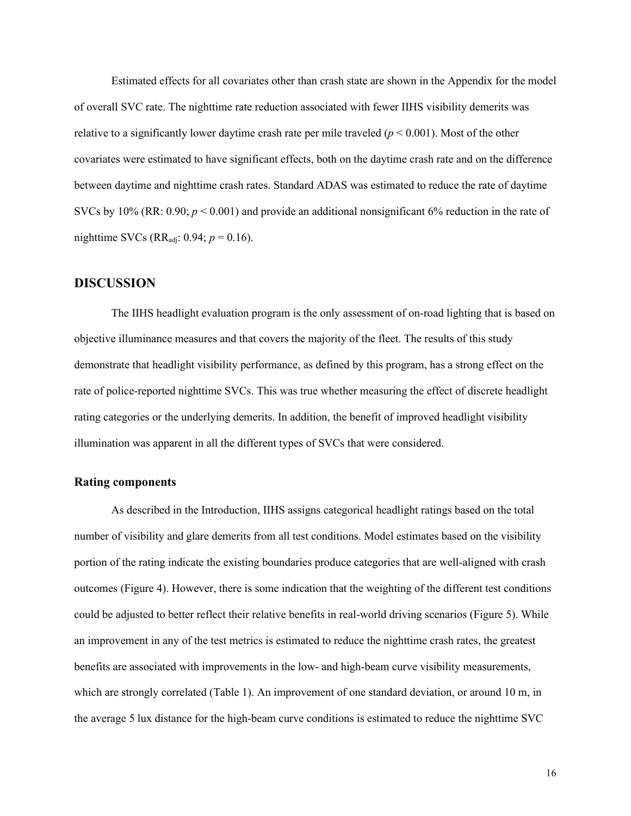Estimated effects for all covariates other than crash state are shown in the Appendix for the model of overall SVC rate. The nighttime rate reduction associated with fewer IIHS visibility demerits was relative to a significantly lower daytime crash rate per mile traveled ( $p < 0.001$ ). Most of the other covariates were estimated to have significant effects, both on the daytime crash rate and on the difference between daytime and nighttime crash rates. Standard ADAS was estimated to reduce the rate of daytime SVCs by 10% (RR:  $0.90$ ;  $p < 0.001$ ) and provide an additional nonsignificant 6% reduction in the rate of nighttime SVCs ( $RR_{\text{adj}}$ : 0.94;  $p = 0.16$ ).

## <span id="page-15-0"></span>**DISCUSSION**

The IIHS headlight evaluation program is the only assessment of on-road lighting that is based on objective illuminance measures and that covers the majority of the fleet. The results of this study demonstrate that headlight visibility performance, as defined by this program, has a strong effect on the rate of police-reported nighttime SVCs. This was true whether measuring the effect of discrete headlight rating categories or the underlying demerits. In addition, the benefit of improved headlight visibility illumination was apparent in all the different types of SVCs that were considered.

### <span id="page-15-1"></span>**Rating components**

As described in the Introduction, IIHS assigns categorical headlight ratings based on the total number of visibility and glare demerits from all test conditions. Model estimates based on the visibility portion of the rating indicate the existing boundaries produce categories that are well-aligned with crash outcomes (Figure 4). However, there is some indication that the weighting of the different test conditions could be adjusted to better reflect their relative benefits in real-world driving scenarios (Figure 5). While an improvement in any of the test metrics is estimated to reduce the nighttime crash rates, the greatest benefits are associated with improvements in the low- and high-beam curve visibility measurements, which are strongly correlated (Table 1). An improvement of one standard deviation, or around 10 m, in the average 5 lux distance for the high-beam curve conditions is estimated to reduce the nighttime SVC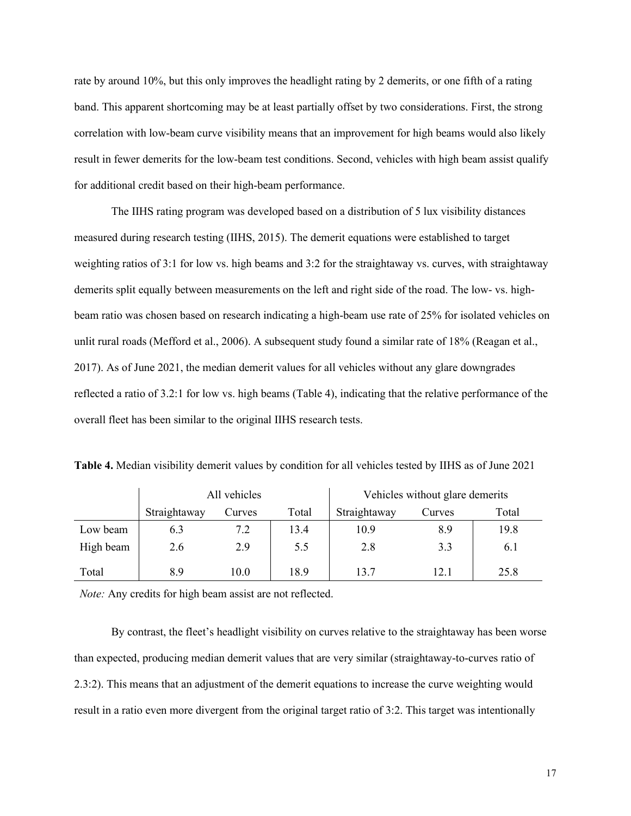rate by around 10%, but this only improves the headlight rating by 2 demerits, or one fifth of a rating band. This apparent shortcoming may be at least partially offset by two considerations. First, the strong correlation with low-beam curve visibility means that an improvement for high beams would also likely result in fewer demerits for the low-beam test conditions. Second, vehicles with high beam assist qualify for additional credit based on their high-beam performance.

The IIHS rating program was developed based on a distribution of 5 lux visibility distances measured during research testing (IIHS, 2015). The demerit equations were established to target weighting ratios of 3:1 for low vs. high beams and 3:2 for the straightaway vs. curves, with straightaway demerits split equally between measurements on the left and right side of the road. The low- vs. highbeam ratio was chosen based on research indicating a high-beam use rate of 25% for isolated vehicles on unlit rural roads (Mefford et al., 2006). A subsequent study found a similar rate of 18% (Reagan et al., 2017). As of June 2021, the median demerit values for all vehicles without any glare downgrades reflected a ratio of 3.2:1 for low vs. high beams (Table 4), indicating that the relative performance of the overall fleet has been similar to the original IIHS research tests.

|           |              | All vehicles |       | Vehicles without glare demerits |        |       |  |
|-----------|--------------|--------------|-------|---------------------------------|--------|-------|--|
|           | Straightaway | Curves       | Total | Straightaway                    | Curves | Total |  |
| Low beam  | 6.3          | 7.2          | 13.4  | 10.9                            | 8.9    | 19.8  |  |
| High beam | 2.6          | 2.9          | 5.5   | 2.8                             | 3.3    | 6.1   |  |
| Total     | 8.9          | 10.0         | 18.9  | 13.7                            | 12.1   | 25.8  |  |

**Table 4.** Median visibility demerit values by condition for all vehicles tested by IIHS as of June 2021

*Note:* Any credits for high beam assist are not reflected.

By contrast, the fleet's headlight visibility on curves relative to the straightaway has been worse than expected, producing median demerit values that are very similar (straightaway-to-curves ratio of 2.3:2). This means that an adjustment of the demerit equations to increase the curve weighting would result in a ratio even more divergent from the original target ratio of 3:2. This target was intentionally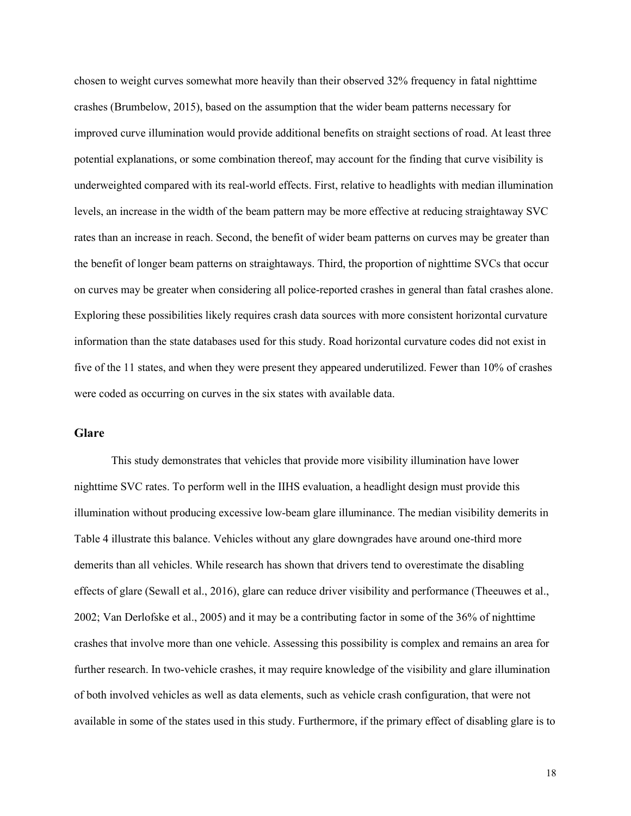chosen to weight curves somewhat more heavily than their observed 32% frequency in fatal nighttime crashes (Brumbelow, 2015), based on the assumption that the wider beam patterns necessary for improved curve illumination would provide additional benefits on straight sections of road. At least three potential explanations, or some combination thereof, may account for the finding that curve visibility is underweighted compared with its real-world effects. First, relative to headlights with median illumination levels, an increase in the width of the beam pattern may be more effective at reducing straightaway SVC rates than an increase in reach. Second, the benefit of wider beam patterns on curves may be greater than the benefit of longer beam patterns on straightaways. Third, the proportion of nighttime SVCs that occur on curves may be greater when considering all police-reported crashes in general than fatal crashes alone. Exploring these possibilities likely requires crash data sources with more consistent horizontal curvature information than the state databases used for this study. Road horizontal curvature codes did not exist in five of the 11 states, and when they were present they appeared underutilized. Fewer than 10% of crashes were coded as occurring on curves in the six states with available data.

### <span id="page-17-0"></span>**Glare**

This study demonstrates that vehicles that provide more visibility illumination have lower nighttime SVC rates. To perform well in the IIHS evaluation, a headlight design must provide this illumination without producing excessive low-beam glare illuminance. The median visibility demerits in Table 4 illustrate this balance. Vehicles without any glare downgrades have around one-third more demerits than all vehicles. While research has shown that drivers tend to overestimate the disabling effects of glare (Sewall et al., 2016), glare can reduce driver visibility and performance (Theeuwes et al., 2002; Van Derlofske et al., 2005) and it may be a contributing factor in some of the 36% of nighttime crashes that involve more than one vehicle. Assessing this possibility is complex and remains an area for further research. In two-vehicle crashes, it may require knowledge of the visibility and glare illumination of both involved vehicles as well as data elements, such as vehicle crash configuration, that were not available in some of the states used in this study. Furthermore, if the primary effect of disabling glare is to

18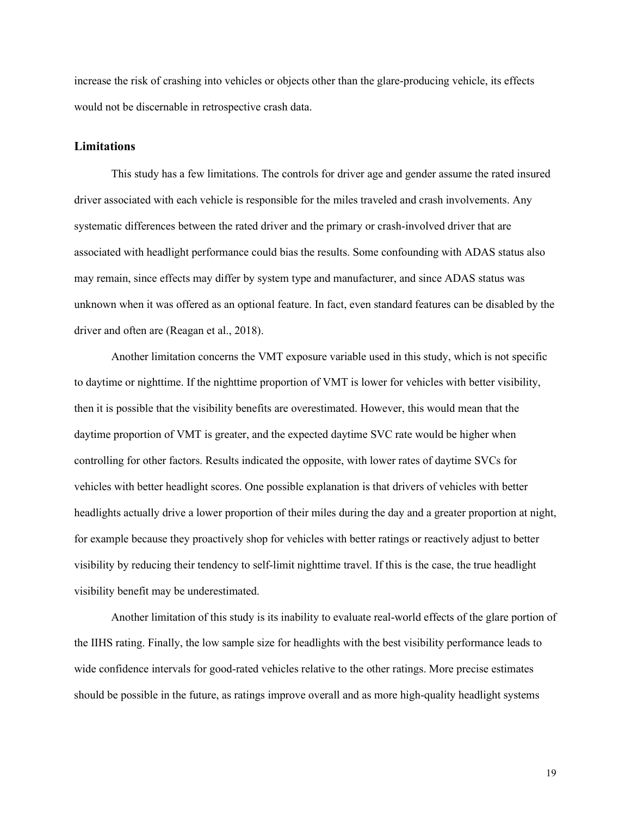increase the risk of crashing into vehicles or objects other than the glare-producing vehicle, its effects would not be discernable in retrospective crash data.

#### <span id="page-18-0"></span>**Limitations**

This study has a few limitations. The controls for driver age and gender assume the rated insured driver associated with each vehicle is responsible for the miles traveled and crash involvements. Any systematic differences between the rated driver and the primary or crash-involved driver that are associated with headlight performance could bias the results. Some confounding with ADAS status also may remain, since effects may differ by system type and manufacturer, and since ADAS status was unknown when it was offered as an optional feature. In fact, even standard features can be disabled by the driver and often are (Reagan et al., 2018).

Another limitation concerns the VMT exposure variable used in this study, which is not specific to daytime or nighttime. If the nighttime proportion of VMT is lower for vehicles with better visibility, then it is possible that the visibility benefits are overestimated. However, this would mean that the daytime proportion of VMT is greater, and the expected daytime SVC rate would be higher when controlling for other factors. Results indicated the opposite, with lower rates of daytime SVCs for vehicles with better headlight scores. One possible explanation is that drivers of vehicles with better headlights actually drive a lower proportion of their miles during the day and a greater proportion at night, for example because they proactively shop for vehicles with better ratings or reactively adjust to better visibility by reducing their tendency to self-limit nighttime travel. If this is the case, the true headlight visibility benefit may be underestimated.

Another limitation of this study is its inability to evaluate real-world effects of the glare portion of the IIHS rating. Finally, the low sample size for headlights with the best visibility performance leads to wide confidence intervals for good-rated vehicles relative to the other ratings. More precise estimates should be possible in the future, as ratings improve overall and as more high-quality headlight systems

19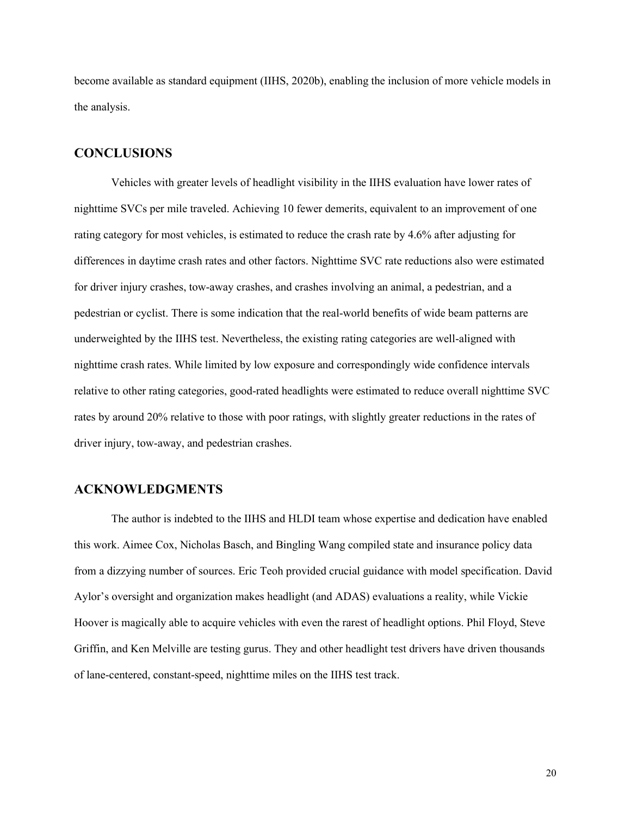become available as standard equipment (IIHS, 2020b), enabling the inclusion of more vehicle models in the analysis.

## <span id="page-19-0"></span>**CONCLUSIONS**

Vehicles with greater levels of headlight visibility in the IIHS evaluation have lower rates of nighttime SVCs per mile traveled. Achieving 10 fewer demerits, equivalent to an improvement of one rating category for most vehicles, is estimated to reduce the crash rate by 4.6% after adjusting for differences in daytime crash rates and other factors. Nighttime SVC rate reductions also were estimated for driver injury crashes, tow-away crashes, and crashes involving an animal, a pedestrian, and a pedestrian or cyclist. There is some indication that the real-world benefits of wide beam patterns are underweighted by the IIHS test. Nevertheless, the existing rating categories are well-aligned with nighttime crash rates. While limited by low exposure and correspondingly wide confidence intervals relative to other rating categories, good-rated headlights were estimated to reduce overall nighttime SVC rates by around 20% relative to those with poor ratings, with slightly greater reductions in the rates of driver injury, tow-away, and pedestrian crashes.

## <span id="page-19-1"></span>**ACKNOWLEDGMENTS**

The author is indebted to the IIHS and HLDI team whose expertise and dedication have enabled this work. Aimee Cox, Nicholas Basch, and Bingling Wang compiled state and insurance policy data from a dizzying number of sources. Eric Teoh provided crucial guidance with model specification. David Aylor's oversight and organization makes headlight (and ADAS) evaluations a reality, while Vickie Hoover is magically able to acquire vehicles with even the rarest of headlight options. Phil Floyd, Steve Griffin, and Ken Melville are testing gurus. They and other headlight test drivers have driven thousands of lane-centered, constant-speed, nighttime miles on the IIHS test track.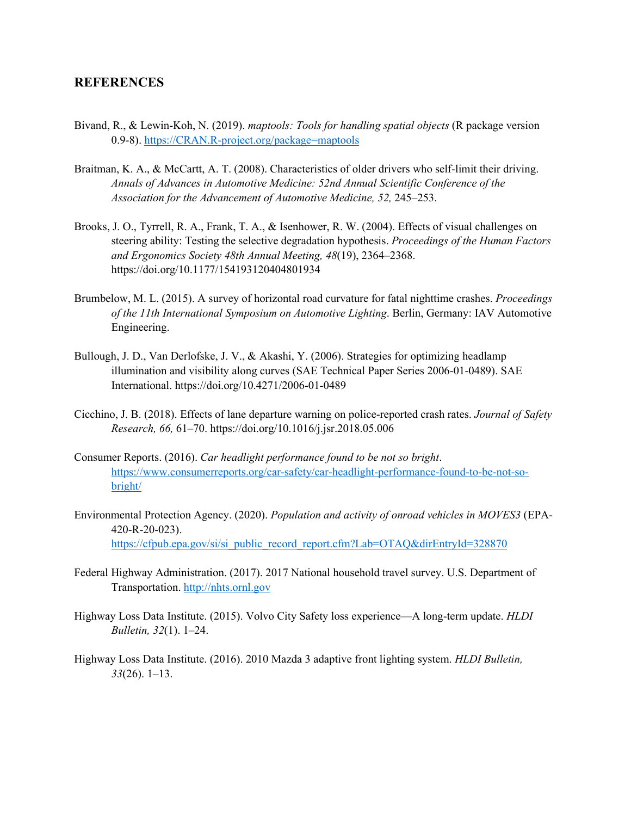## <span id="page-20-0"></span>**REFERENCES**

- Bivand, R., & Lewin-Koh, N. (2019). *maptools: Tools for handling spatial objects* (R package version 0.9-8). [https://CRAN.R-project.org/package=maptools](https://cran.r-project.org/package=maptools)
- Braitman, K. A., & McCartt, A. T. (2008). Characteristics of older drivers who self-limit their driving. *Annals of Advances in Automotive Medicine: 52nd Annual Scientific Conference of the Association for the Advancement of Automotive Medicine, 52,* 245–253.
- Brooks, J. O., Tyrrell, R. A., Frank, T. A., & Isenhower, R. W. (2004). Effects of visual challenges on steering ability: Testing the selective degradation hypothesis. *Proceedings of the Human Factors and Ergonomics Society 48th Annual Meeting, 48*(19), 2364–2368. https://doi.org/10.1177/154193120404801934
- Brumbelow, M. L. (2015). A survey of horizontal road curvature for fatal nighttime crashes. *Proceedings of the 11th International Symposium on Automotive Lighting*. Berlin, Germany: IAV Automotive Engineering.
- Bullough, J. D., Van Derlofske, J. V., & Akashi, Y. (2006). Strategies for optimizing headlamp illumination and visibility along curves (SAE Technical Paper Series 2006-01-0489). SAE International. https://doi.org/10.4271/2006-01-0489
- Cicchino, J. B. (2018). Effects of lane departure warning on police-reported crash rates. *Journal of Safety Research, 66,* 61–70. https://doi.org/10.1016/j.jsr.2018.05.006
- Consumer Reports. (2016). *Car headlight performance found to be not so bright*. [https://www.consumerreports.org/car-safety/car-headlight-performance-found-to-be-not-so](https://www.consumerreports.org/car-safety/car-headlight-performance-found-to-be-not-so-bright/)[bright/](https://www.consumerreports.org/car-safety/car-headlight-performance-found-to-be-not-so-bright/)
- Environmental Protection Agency. (2020). *Population and activity of onroad vehicles in MOVES3* (EPA-420-R-20-023). [https://cfpub.epa.gov/si/si\\_public\\_record\\_report.cfm?Lab=OTAQ&dirEntryId=328870](https://cfpub.epa.gov/si/si_public_record_report.cfm?Lab=OTAQ&dirEntryId=328870)
- Federal Highway Administration. (2017). 2017 National household travel survey. U.S. Department of Transportation. [http://nhts.ornl.gov](http://nhts.ornl.gov/)
- Highway Loss Data Institute. (2015). Volvo City Safety loss experience—A long-term update. *HLDI Bulletin, 32*(1). 1–24.
- Highway Loss Data Institute. (2016). 2010 Mazda 3 adaptive front lighting system. *HLDI Bulletin, 33*(26). 1–13.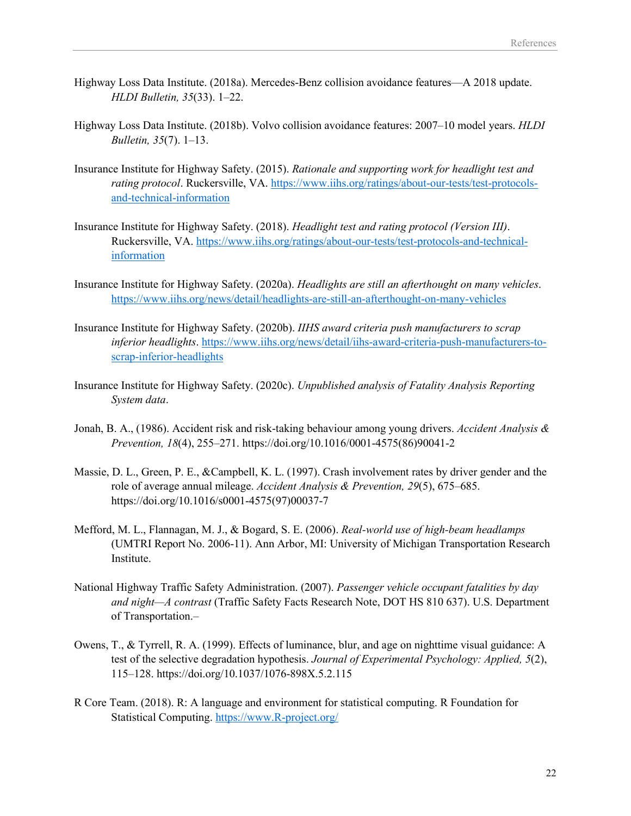- Highway Loss Data Institute. (2018a). Mercedes-Benz collision avoidance features—A 2018 update. *HLDI Bulletin, 35*(33). 1–22.
- Highway Loss Data Institute. (2018b). Volvo collision avoidance features: 2007–10 model years. *HLDI Bulletin, 35*(7). 1–13.
- Insurance Institute for Highway Safety. (2015). *Rationale and supporting work for headlight test and rating protocol*. Ruckersville, VA. [https://www.iihs.org/ratings/about-our-tests/test-protocols](https://www.iihs.org/ratings/about-our-tests/test-protocols-and-technical-information)[and-technical-information](https://www.iihs.org/ratings/about-our-tests/test-protocols-and-technical-information)
- Insurance Institute for Highway Safety. (2018). *Headlight test and rating protocol (Version III)*. Ruckersville, VA. [https://www.iihs.org/ratings/about-our-tests/test-protocols-and-technical](https://www.iihs.org/ratings/about-our-tests/test-protocols-and-technical-information)[information](https://www.iihs.org/ratings/about-our-tests/test-protocols-and-technical-information)
- Insurance Institute for Highway Safety. (2020a). *Headlights are still an afterthought on many vehicles*. <https://www.iihs.org/news/detail/headlights-are-still-an-afterthought-on-many-vehicles>
- Insurance Institute for Highway Safety. (2020b). *IIHS award criteria push manufacturers to scrap inferior headlights*. [https://www.iihs.org/news/detail/iihs-award-criteria-push-manufacturers-to](https://www.iihs.org/news/detail/iihs-award-criteria-push-manufacturers-to-scrap-inferior-headlights)[scrap-inferior-headlights](https://www.iihs.org/news/detail/iihs-award-criteria-push-manufacturers-to-scrap-inferior-headlights)
- Insurance Institute for Highway Safety. (2020c). *Unpublished analysis of Fatality Analysis Reporting System data*.
- Jonah, B. A., (1986). Accident risk and risk-taking behaviour among young drivers. *Accident Analysis & Prevention, 18*(4), 255–271. https://doi.org/10.1016/0001-4575(86)90041-2
- Massie, D. L., Green, P. E., &Campbell, K. L. (1997). Crash involvement rates by driver gender and the role of average annual mileage. *Accident Analysis & Prevention, 29*(5), 675–685. https://doi.org/10.1016/s0001-4575(97)00037-7
- Mefford, M. L., Flannagan, M. J., & Bogard, S. E. (2006). *Real-world use of high-beam headlamps*  (UMTRI Report No. 2006-11). Ann Arbor, MI: University of Michigan Transportation Research Institute.
- National Highway Traffic Safety Administration. (2007). *Passenger vehicle occupant fatalities by day and night—A contrast* (Traffic Safety Facts Research Note, DOT HS 810 637). U.S. Department of Transportation.–
- Owens, T., & Tyrrell, R. A. (1999). Effects of luminance, blur, and age on nighttime visual guidance: A test of the selective degradation hypothesis. *Journal of Experimental Psychology: Applied, 5*(2), 115–128. https://doi.org/10.1037/1076-898X.5.2.115
- R Core Team. (2018). R: A language and environment for statistical computing. R Foundation for Statistical Computing. [https://www.R-project.org/](https://www.r-project.org/)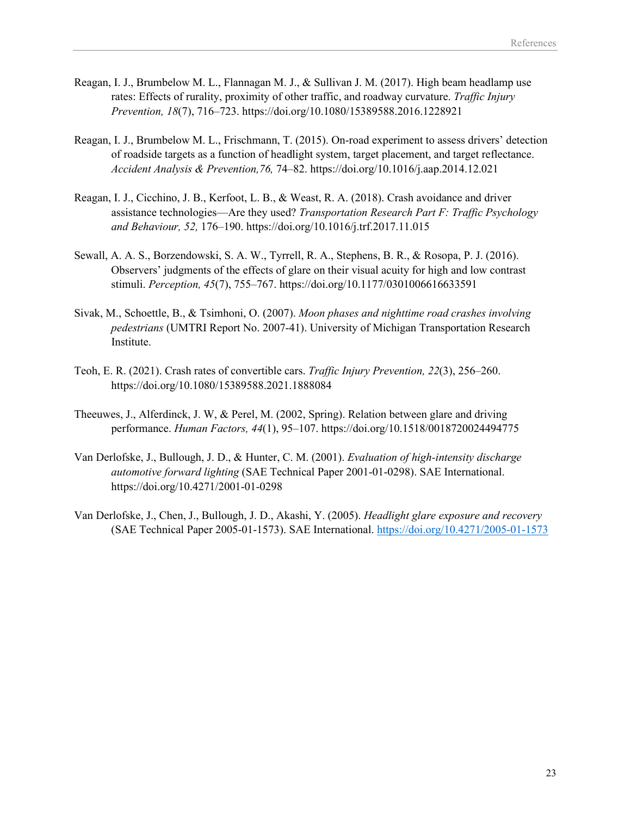- Reagan, I. J., Brumbelow M. L., Flannagan M. J., & Sullivan J. M. (2017). High beam headlamp use rates: Effects of rurality, proximity of other traffic, and roadway curvature. *Traffic Injury Prevention, 18*(7), 716–723. https://doi.org/10.1080/15389588.2016.1228921
- Reagan, I. J., Brumbelow M. L., Frischmann, T. (2015). On-road experiment to assess drivers' detection of roadside targets as a function of headlight system, target placement, and target reflectance. *Accident Analysis & Prevention,76,* 74–82. https://doi.org/10.1016/j.aap.2014.12.021
- Reagan, I. J., Cicchino, J. B., Kerfoot, L. B., & Weast, R. A. (2018). Crash avoidance and driver assistance technologies—Are they used? *Transportation Research Part F: Traffic Psychology and Behaviour, 52,* 176–190. https://doi.org/10.1016/j.trf.2017.11.015
- Sewall, A. A. S., Borzendowski, S. A. W., Tyrrell, R. A., Stephens, B. R., & Rosopa, P. J. (2016). Observers' judgments of the effects of glare on their visual acuity for high and low contrast stimuli. *Perception, 45*(7), 755–767. https://doi.org/10.1177/0301006616633591
- Sivak, M., Schoettle, B., & Tsimhoni, O. (2007). *Moon phases and nighttime road crashes involving pedestrians* (UMTRI Report No. 2007-41). University of Michigan Transportation Research Institute.
- Teoh, E. R. (2021). Crash rates of convertible cars. *Traffic Injury Prevention, 22*(3), 256–260. https://doi.org/10.1080/15389588.2021.1888084
- Theeuwes, J., Alferdinck, J. W, & Perel, M. (2002, Spring). Relation between glare and driving performance. *Human Factors, 44*(1), 95–107. https://doi.org/10.1518/0018720024494775
- Van Derlofske, J., Bullough, J. D., & Hunter, C. M. (2001). *Evaluation of high-intensity discharge automotive forward lighting* (SAE Technical Paper 2001-01-0298). SAE International. https://doi.org/10.4271/2001-01-0298
- Van Derlofske, J., Chen, J., Bullough, J. D., Akashi, Y. (2005). *Headlight glare exposure and recovery*  (SAE Technical Paper 2005-01-1573). SAE International. <https://doi.org/10.4271/2005-01-1573>